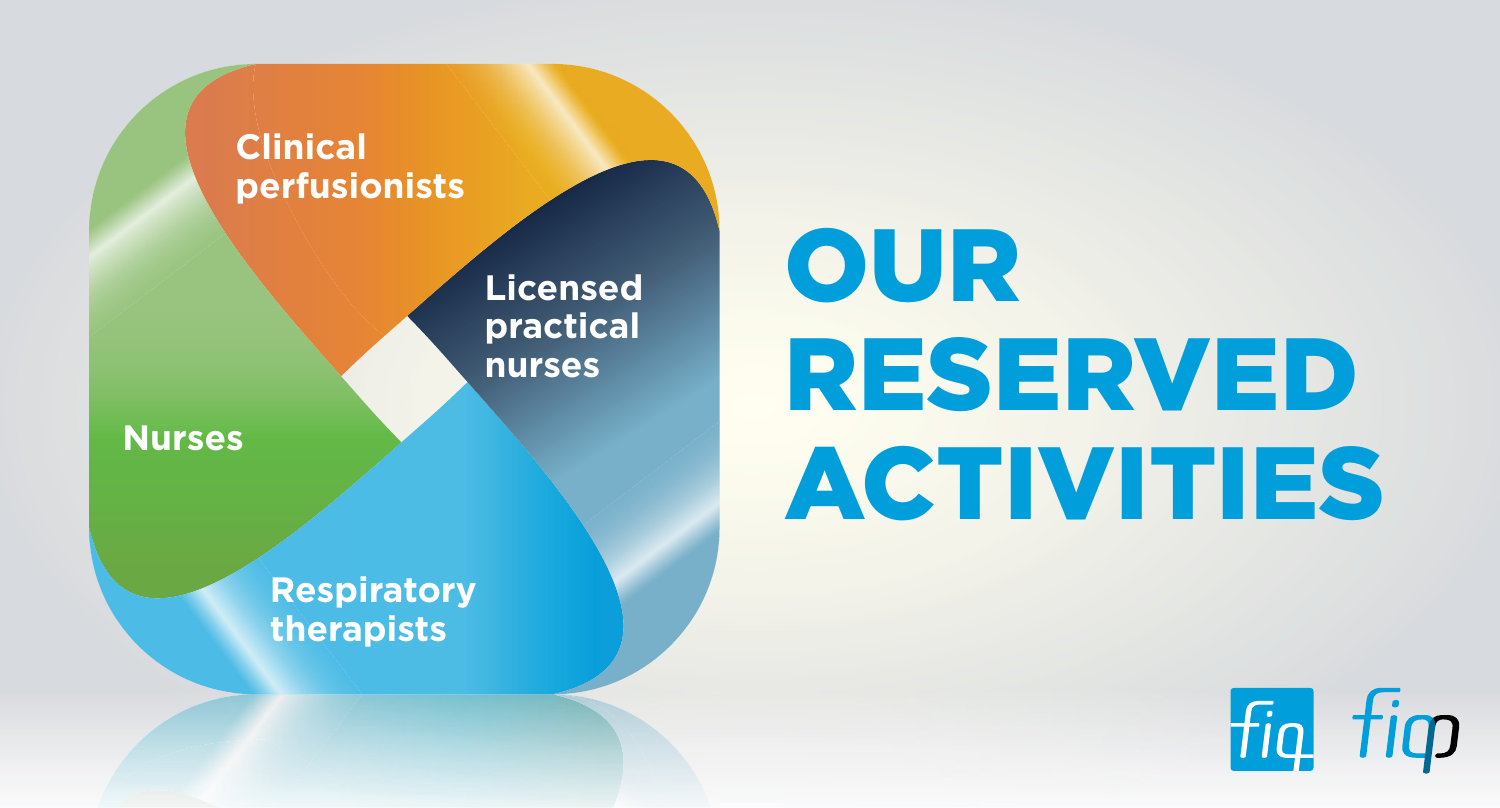

# **OUR** RESERVED

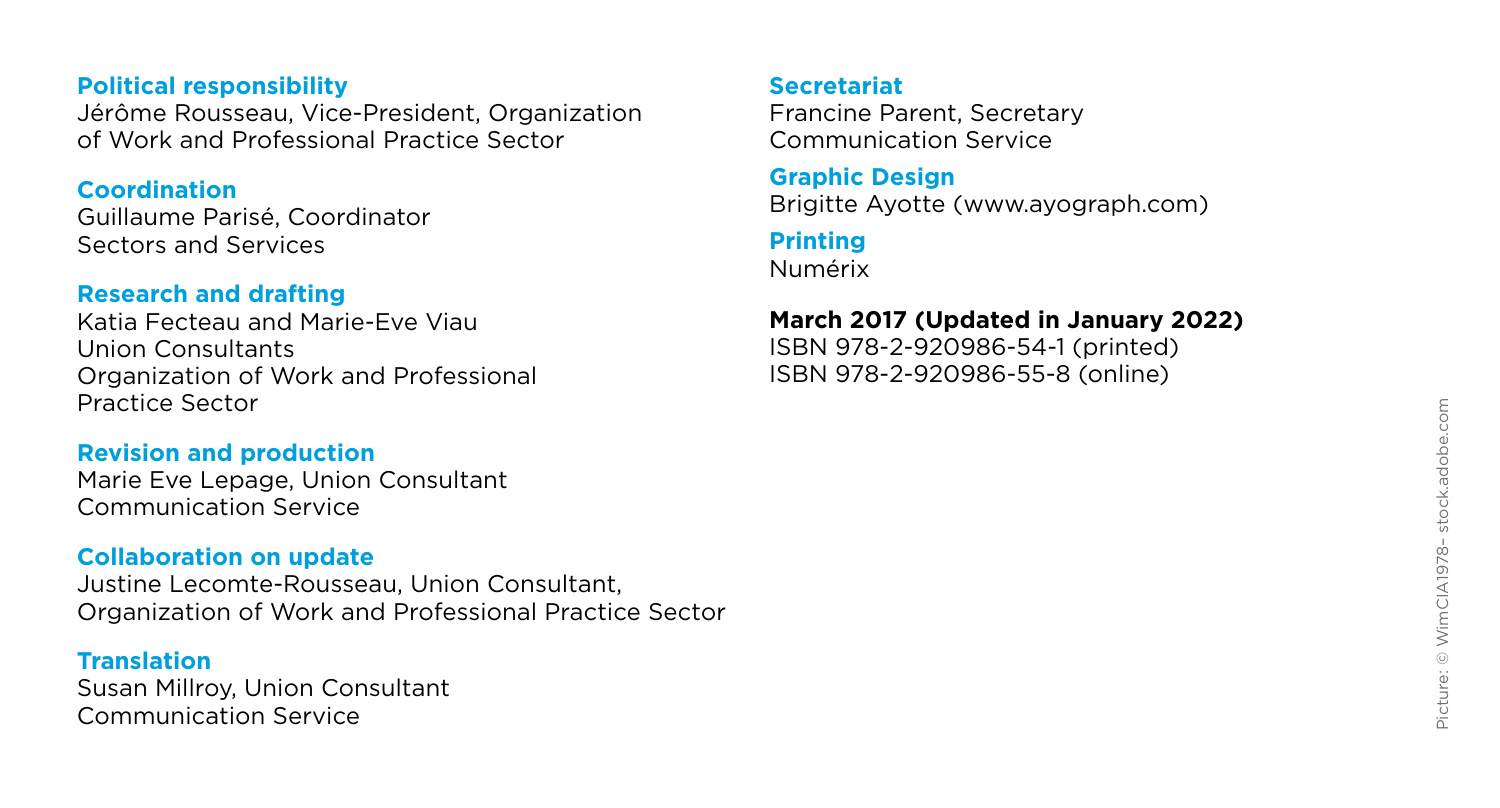#### **Political responsibility**

Jérôme Rousseau, Vice-President, Organization of Work and Professional Practice Sector

#### **Coordination**

Guillaume Parisé, Coordinator Sectors and Services

#### **Research and drafting**

Katia Fecteau and Marie-Eve Viau Union Consultants Organization of Work and Professional Practice Sector

#### **Revision and production**

Marie Eve Lepage, Union Consultant Communication Service

#### **Collaboration on update**

Justine Lecomte-Rousseau, Union Consultant, Organization of Work and Professional Practice Sector

#### **Translation**

Susan Millroy, Union Consultant Communication Service

#### **Secretariat**

Francine Parent, Secretary Communication Service

#### **Graphic Design**

Brigitte Ayotte (www.ayograph.com)

#### **Printing**

Numérix

#### **March 2017 (Updated in January 2022)**

ISBN 978-2-920986-54-1 (printed) ISBN 978-2-920986-55-8 (online)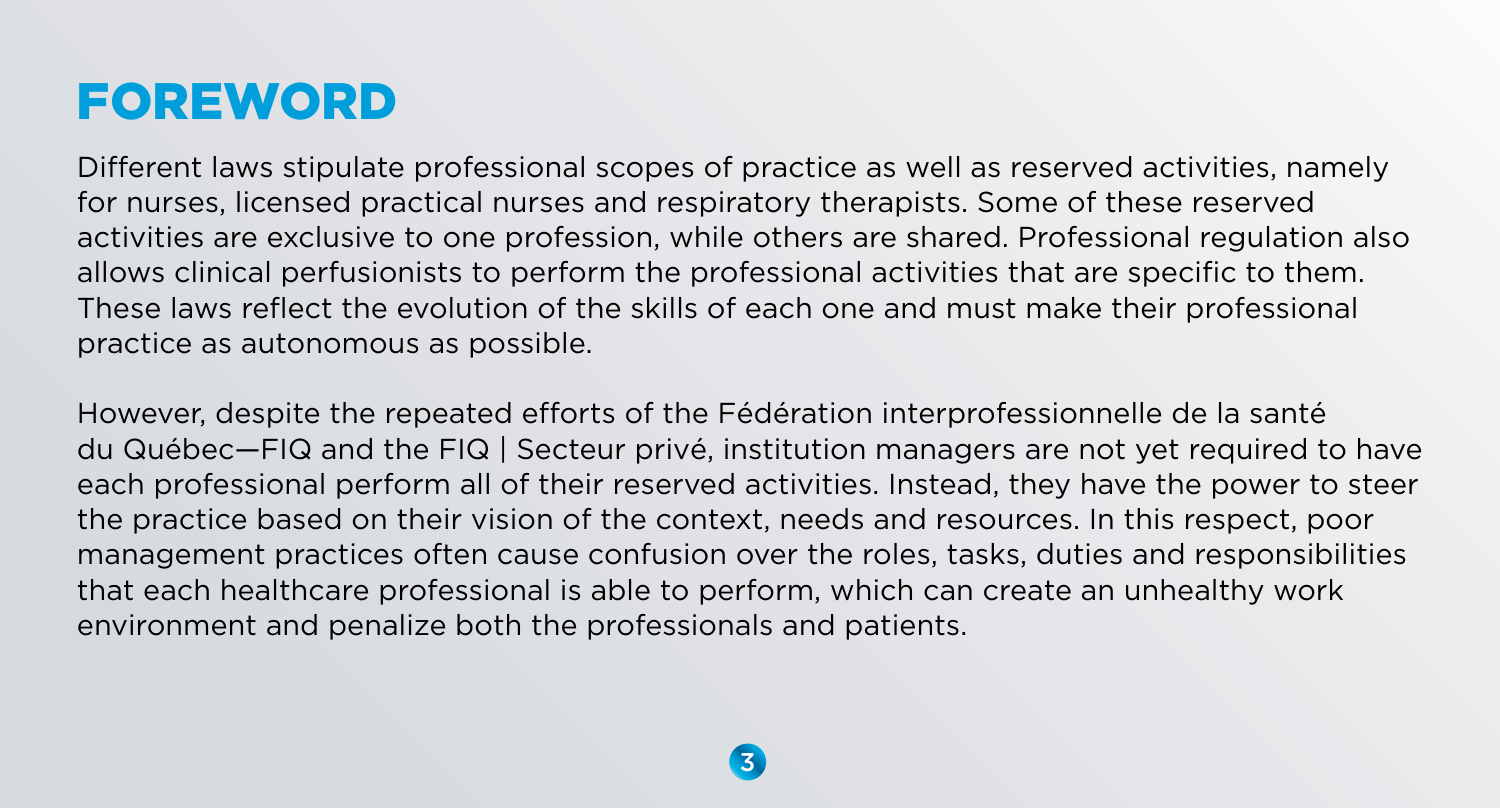# FOREWORD

Different laws stipulate professional scopes of practice as well as reserved activities, namely for nurses, licensed practical nurses and respiratory therapists. Some of these reserved activities are exclusive to one profession, while others are shared. Professional regulation also allows clinical perfusionists to perform the professional activities that are specific to them. These laws reflect the evolution of the skills of each one and must make their professional practice as autonomous as possible.

However, despite the repeated efforts of the Fédération interprofessionnelle de la santé du Québec—FIQ and the FIQ | Secteur privé, institution managers are not yet required to have each professional perform all of their reserved activities. Instead, they have the power to steer the practice based on their vision of the context, needs and resources. In this respect, poor management practices often cause confusion over the roles, tasks, duties and responsibilities that each healthcare professional is able to perform, which can create an unhealthy work environment and penalize both the professionals and patients.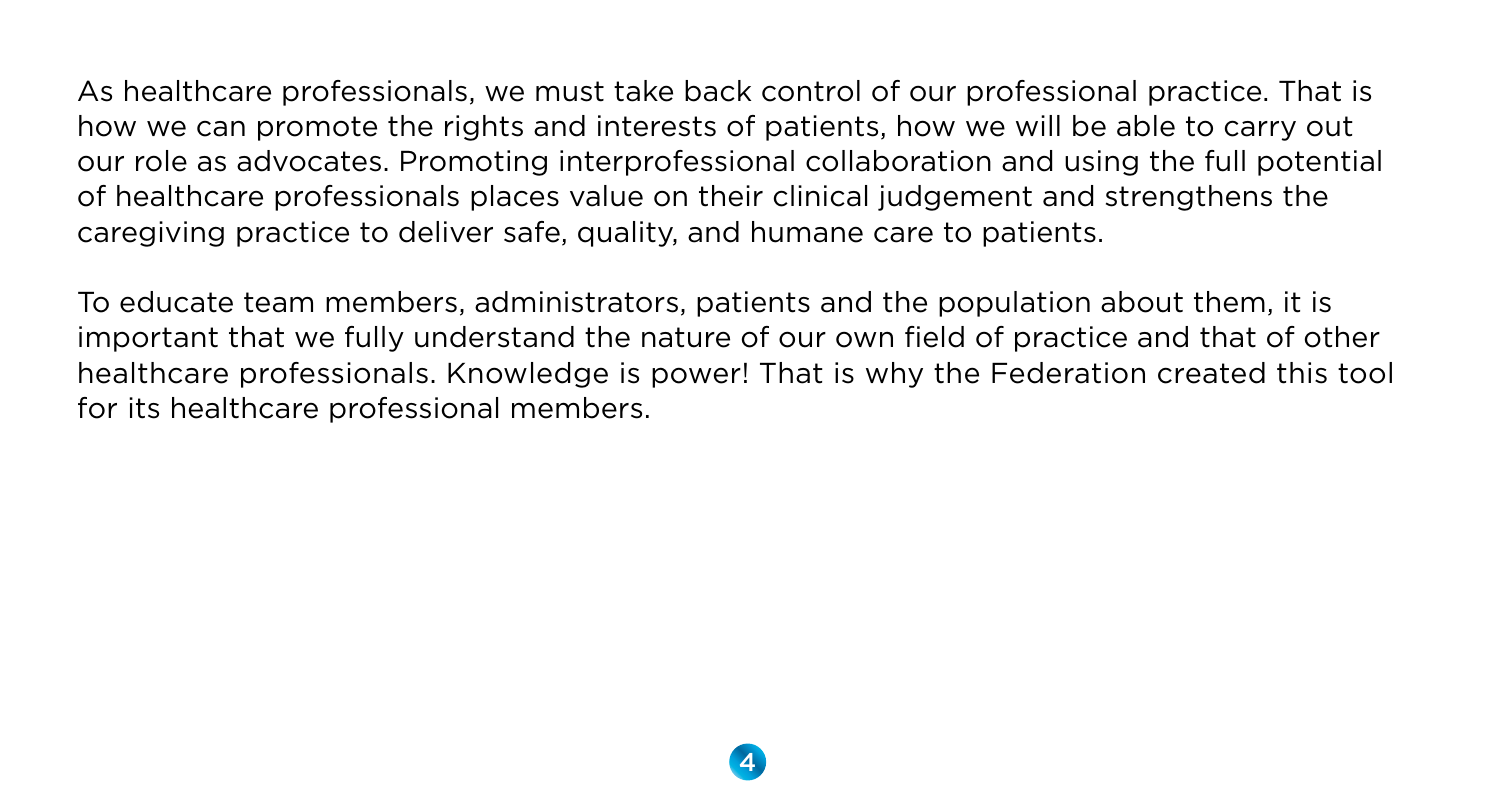As healthcare professionals, we must take back control of our professional practice. That is how we can promote the rights and interests of patients, how we will be able to carry out our role as advocates. Promoting interprofessional collaboration and using the full potential of healthcare professionals places value on their clinical judgement and strengthens the caregiving practice to deliver safe, quality, and humane care to patients.

To educate team members, administrators, patients and the population about them, it is important that we fully understand the nature of our own field of practice and that of other healthcare professionals. Knowledge is power! That is why the Federation created this tool for its healthcare professional members.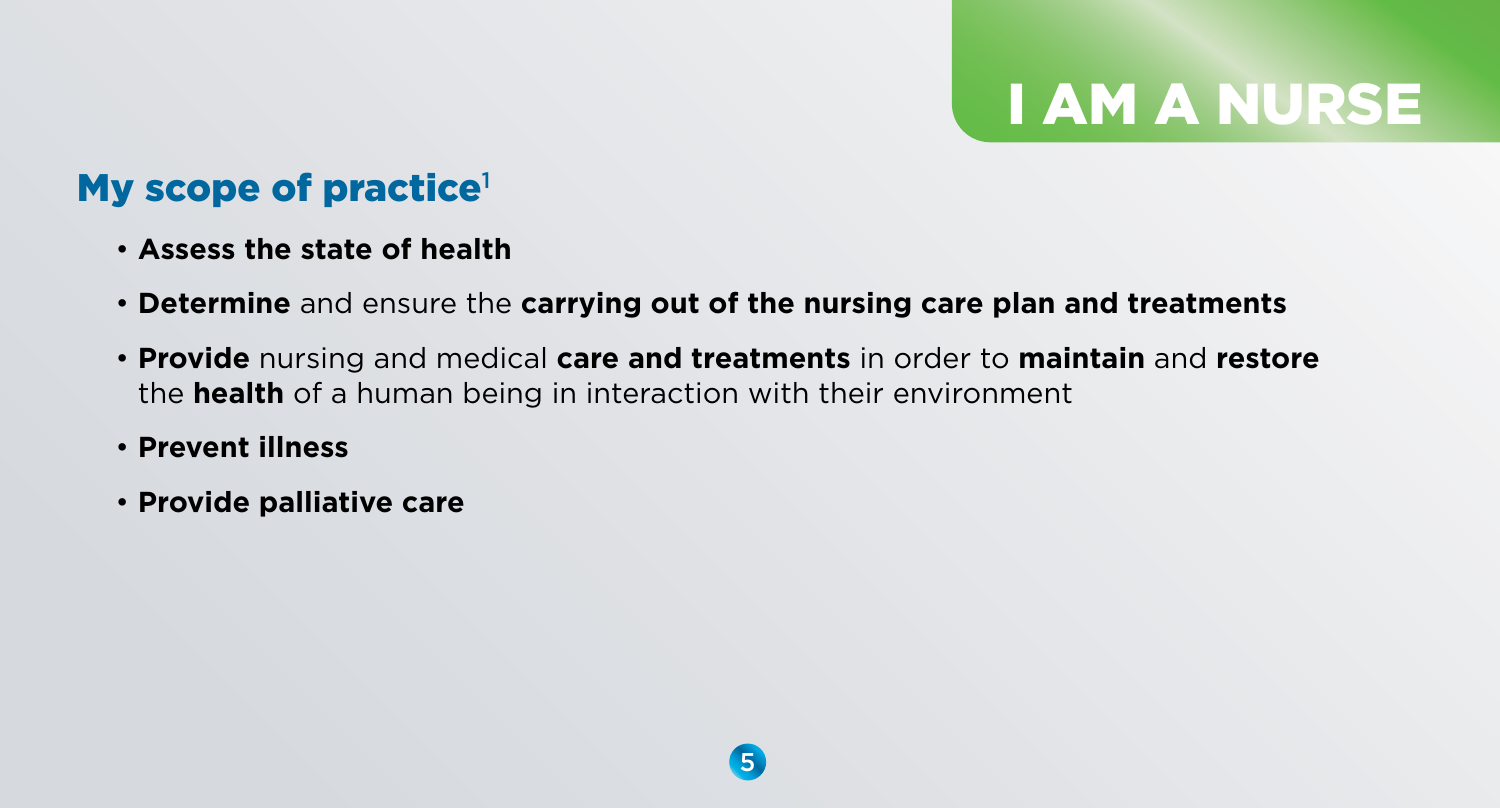# I AM A NURSE

### My scope of practice $1$

### • **Assess the state of health**

- **Determine** and ensure the **carrying out of the nursing care plan and treatments**
- **Provide** nursing and medical **care and treatments** in order to **maintain** and **restore** the **health** of a human being in interaction with their environment
- **Prevent illness**
- **Provide palliative care**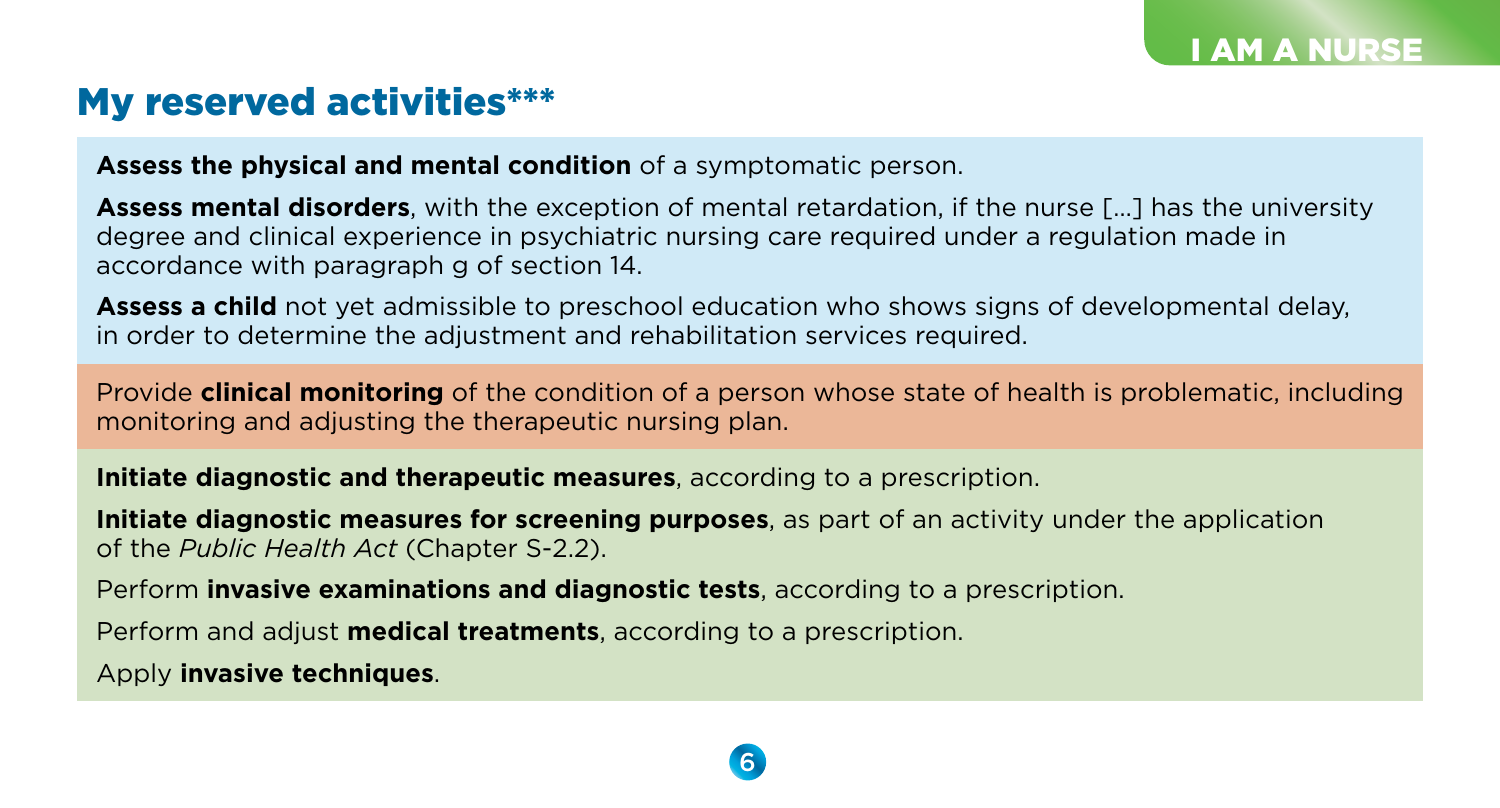### My reserved activities\*\*\*

**Assess the physical and mental condition** of a symptomatic person.

**Assess mental disorders**, with the exception of mental retardation, if the nurse […] has the university degree and clinical experience in psychiatric nursing care required under a regulation made in accordance with paragraph g of section 14.

**Assess a child** not yet admissible to preschool education who shows signs of developmental delay, in order to determine the adjustment and rehabilitation services required.

Provide **clinical monitoring** of the condition of a person whose state of health is problematic, including monitoring and adjusting the therapeutic nursing plan.

**Initiate diagnostic and therapeutic measures**, according to a prescription.

**Initiate diagnostic measures for screening purposes**, as part of an activity under the application of the *Public Health Act* (Chapter S-2.2).

Perform **invasive examinations and diagnostic tests**, according to a prescription.

Perform and adjust **medical treatments**, according to a prescription.

Apply **invasive techniques**.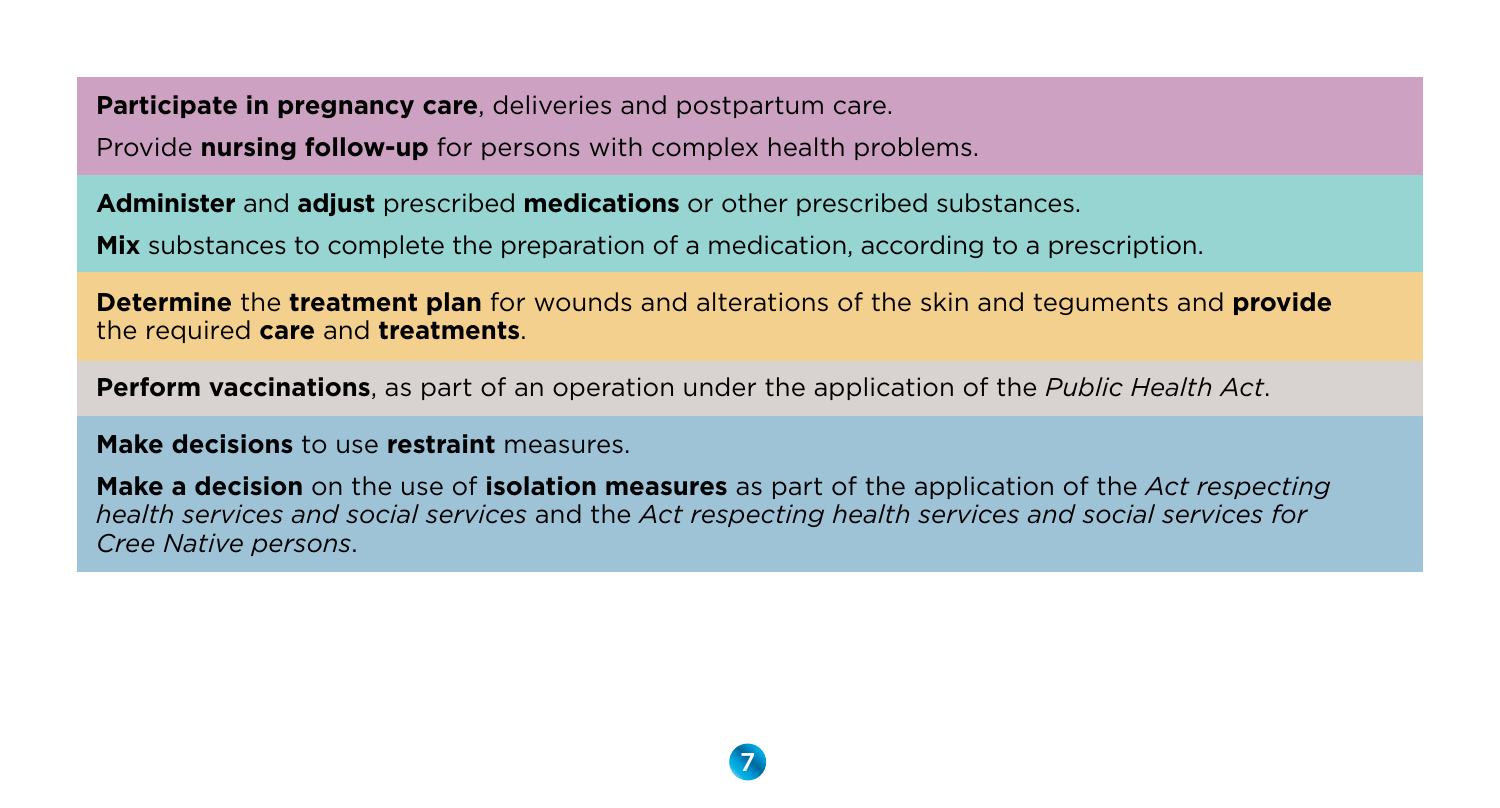**Participate in pregnancy care**, deliveries and postpartum care.

Provide **nursing follow-up** for persons with complex health problems.

**Administer** and **adjust** prescribed **medications** or other prescribed substances.

**Mix** substances to complete the preparation of a medication, according to a prescription.

**Determine** the **treatment plan** for wounds and alterations of the skin and teguments and **provide** the required **care** and **treatments**.

**Perform vaccinations**, as part of an operation under the application of the *Public Health Act*.

**Make decisions** to use **restraint** measures.

**Make a decision** on the use of **isolation measures** as part of the application of the *Act respecting health services and social services* and the *Act respecting health services and social services for Cree Native persons*.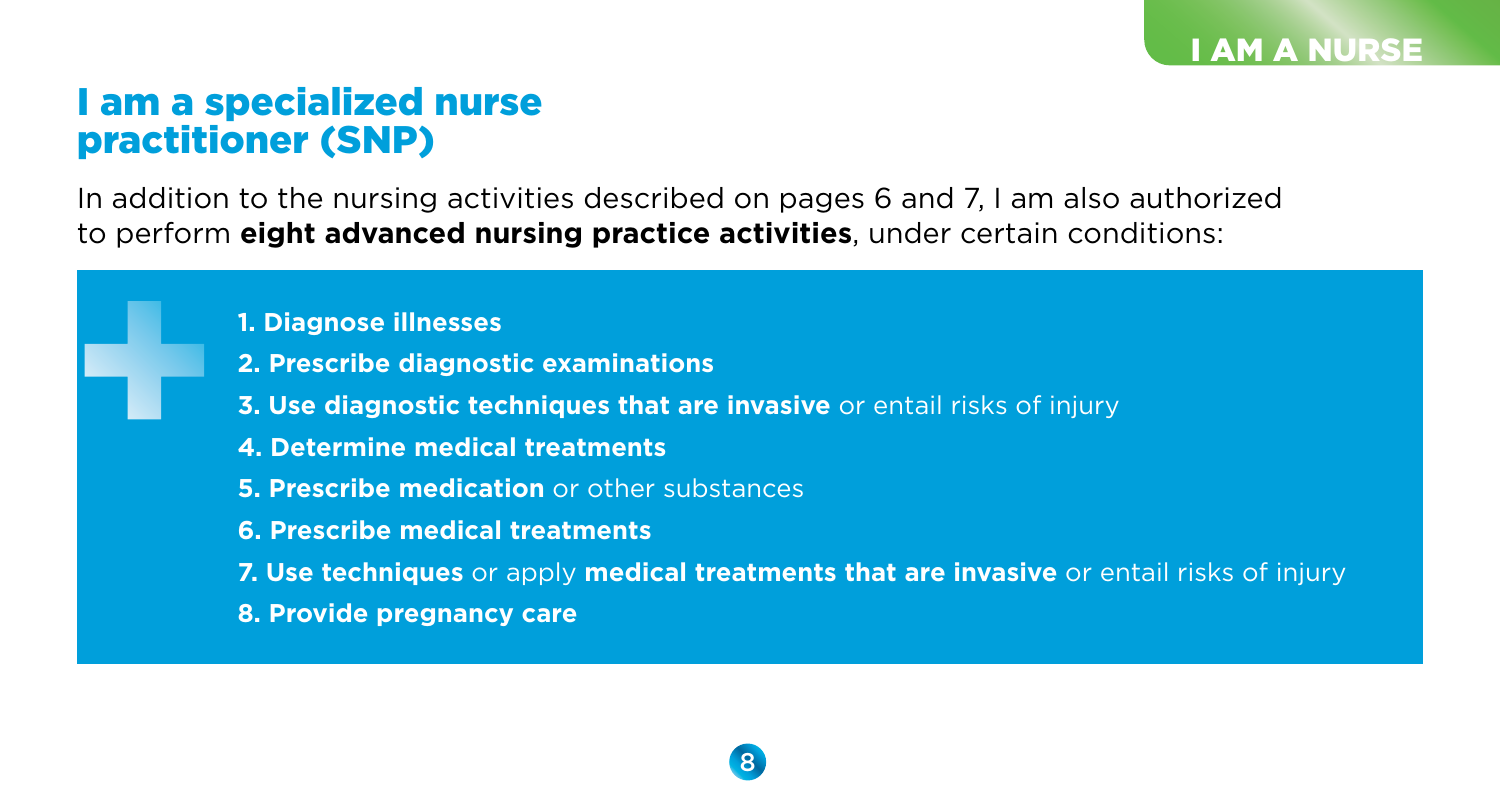### I am a specialized nurse practitioner (SNP)

In addition to the nursing activities described on pages 6 and 7, I am also authorized to perform **eight advanced nursing practice activities**, under certain conditions:

- **1. Diagnose illnesses**
- **2. Prescribe diagnostic examinations**
- **3. Use diagnostic techniques that are invasive** or entail risks of injury
- **4. Determine medical treatments**
- **5. Prescribe medication** or other substances
- **6. Prescribe medical treatments**
- **7. Use techniques** or apply **medical treatments that are invasive** or entail risks of injury
- **8. Provide pregnancy care**

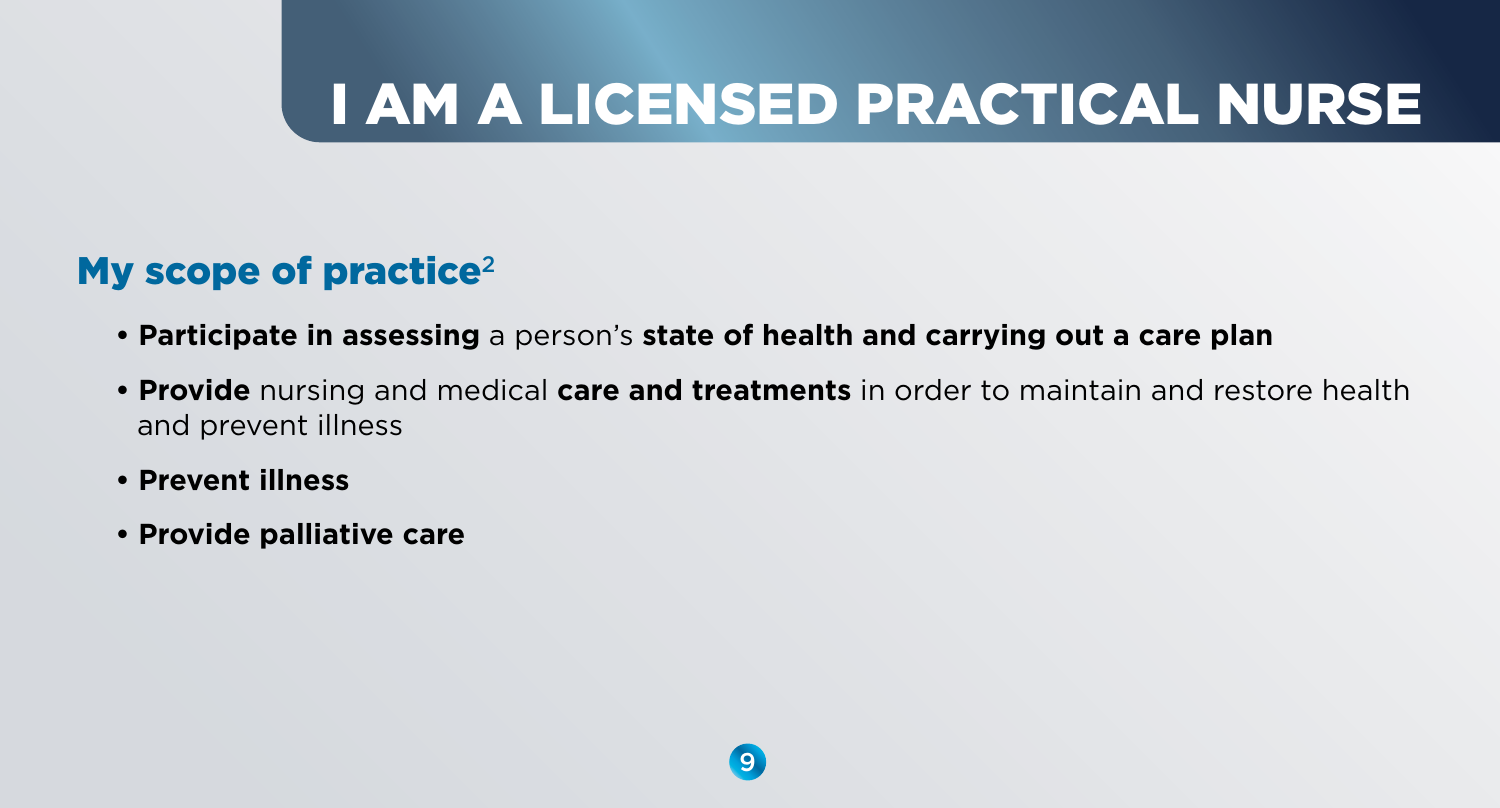# I AM A LICENSED PRACTICAL NURSE

### My scope of practice<sup>2</sup>

- **Participate in assessing** a person's **state of health and carrying out a care plan**
- **Provide** nursing and medical **care and treatments** in order to maintain and restore health and prevent illness
- **Prevent illness**
- **Provide palliative care**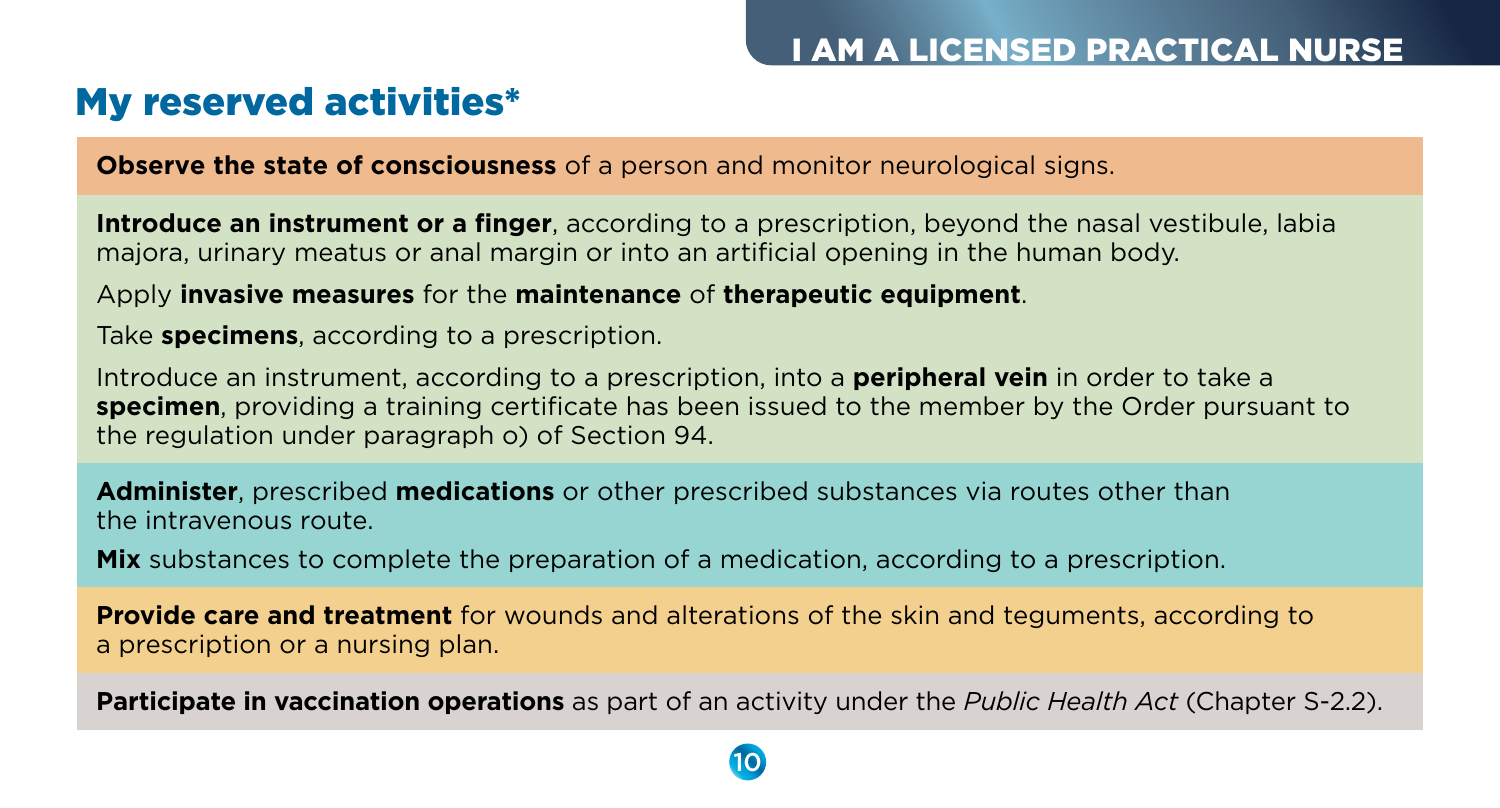### My reserved activities\*

**Observe the state of consciousness** of a person and monitor neurological signs.

**Introduce an instrument or a finger**, according to a prescription, beyond the nasal vestibule, labia majora, urinary meatus or anal margin or into an artificial opening in the human body.

Apply **invasive measures** for the **maintenance** of **therapeutic equipment**.

Take **specimens**, according to a prescription.

Introduce an instrument, according to a prescription, into a **peripheral vein** in order to take a **specimen**, providing a training certificate has been issued to the member by the Order pursuant to the regulation under paragraph o) of Section 94.

**Administer**, prescribed **medications** or other prescribed substances via routes other than the intravenous route.

**Mix** substances to complete the preparation of a medication, according to a prescription.

**Provide care and treatment** for wounds and alterations of the skin and teguments, according to a prescription or a nursing plan.

**Participate in vaccination operations** as part of an activity under the *Public Health Act* (Chapter S-2.2).

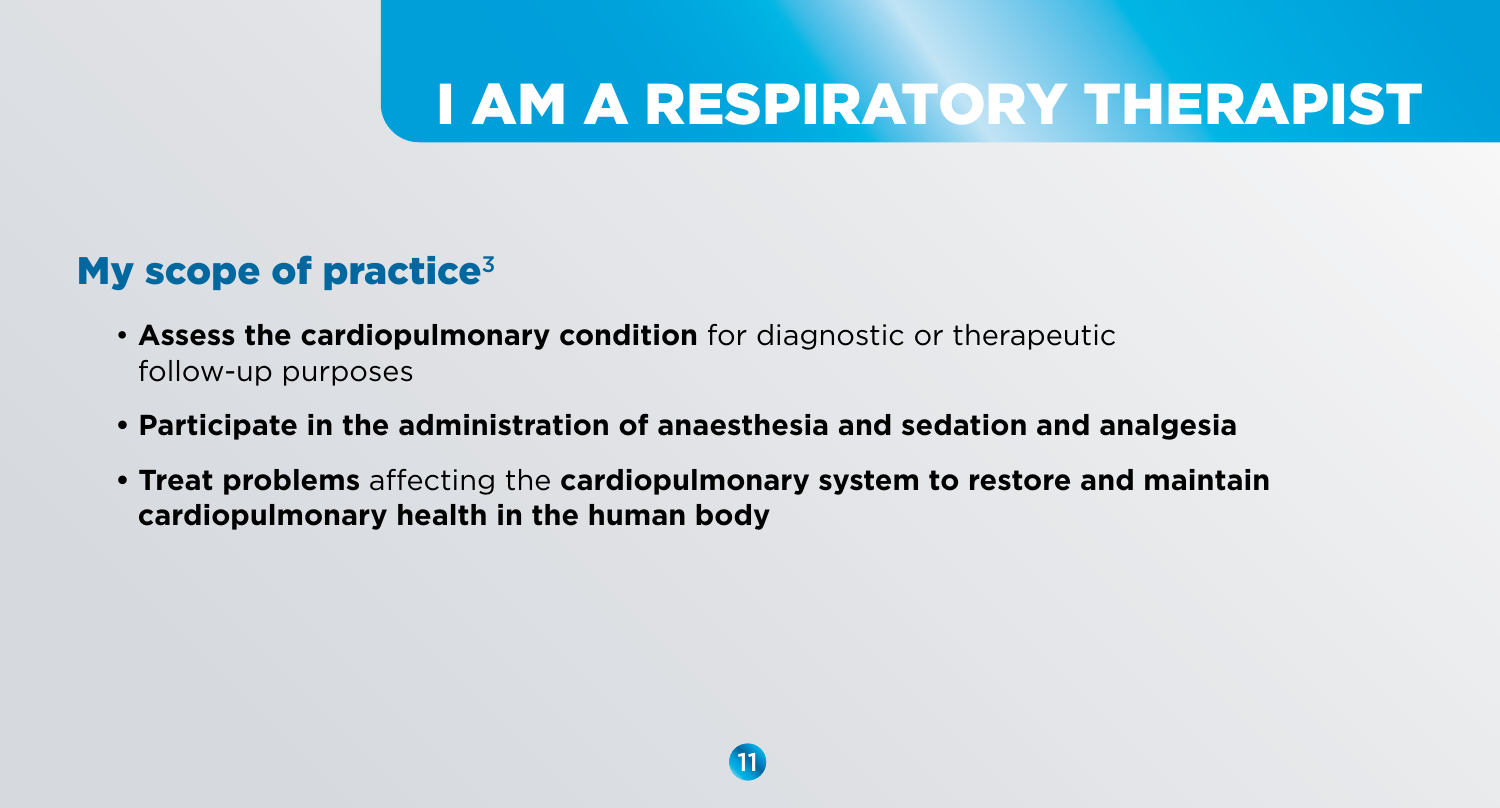# I AM A RESPIRATORY THERAPIST

### My scope of practice $3$

- **Assess the cardiopulmonary condition** for diagnostic or therapeutic follow-up purposes
- **Participate in the administration of anaesthesia and sedation and analgesia**
- **Treat problems** affecting the **cardiopulmonary system to restore and maintain cardiopulmonary health in the human body**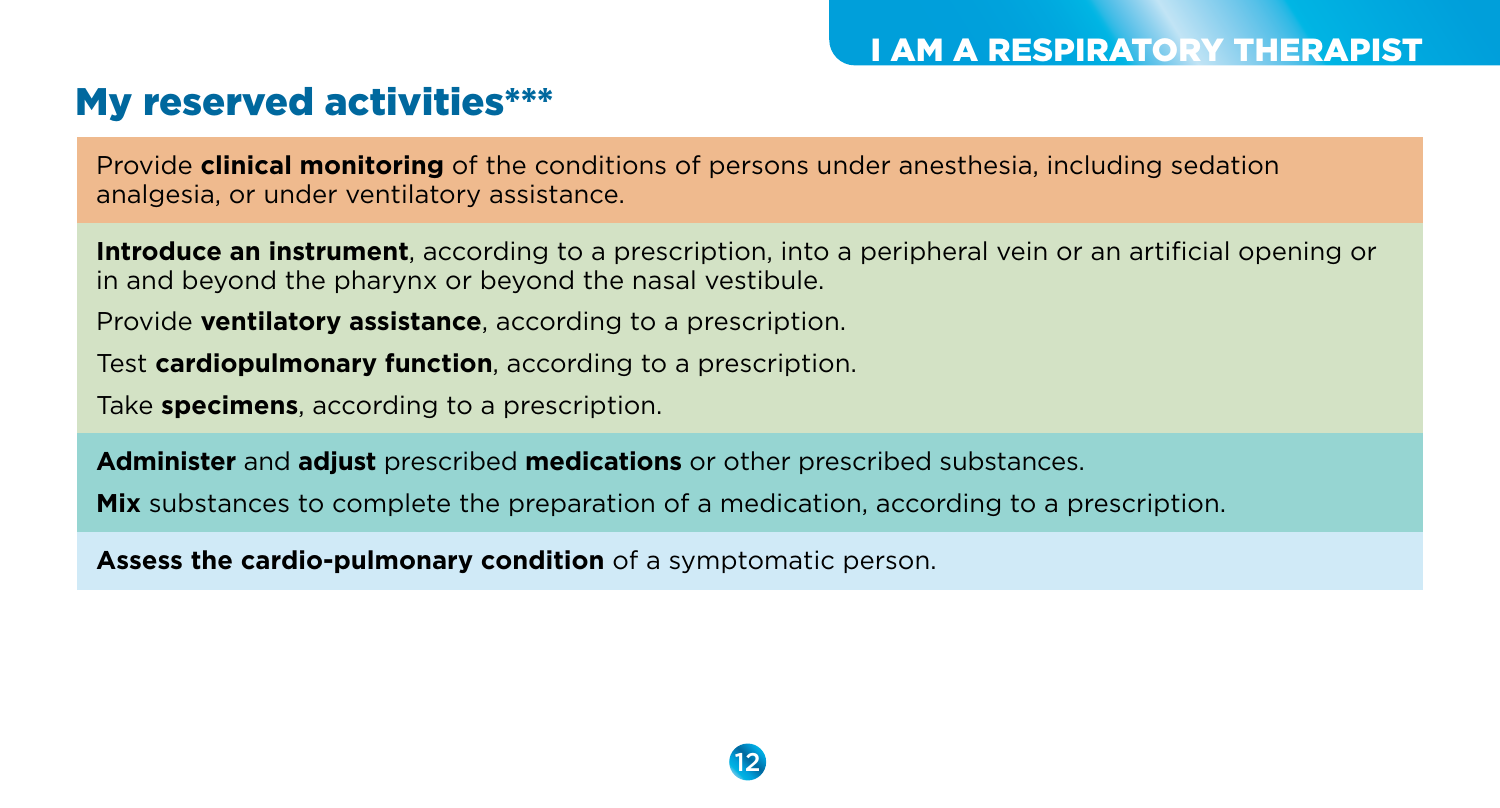### My reserved activities\*\*\*

Provide **clinical monitoring** of the conditions of persons under anesthesia, including sedation analgesia, or under ventilatory assistance.

**Introduce an instrument**, according to a prescription, into a peripheral vein or an artificial opening or in and beyond the pharynx or beyond the nasal vestibule.

Provide **ventilatory assistance**, according to a prescription.

Test **cardiopulmonary function**, according to a prescription.

Take **specimens**, according to a prescription.

**Administer** and **adjust** prescribed **medications** or other prescribed substances.

**Mix** substances to complete the preparation of a medication, according to a prescription.

**Assess the cardio-pulmonary condition** of a symptomatic person.

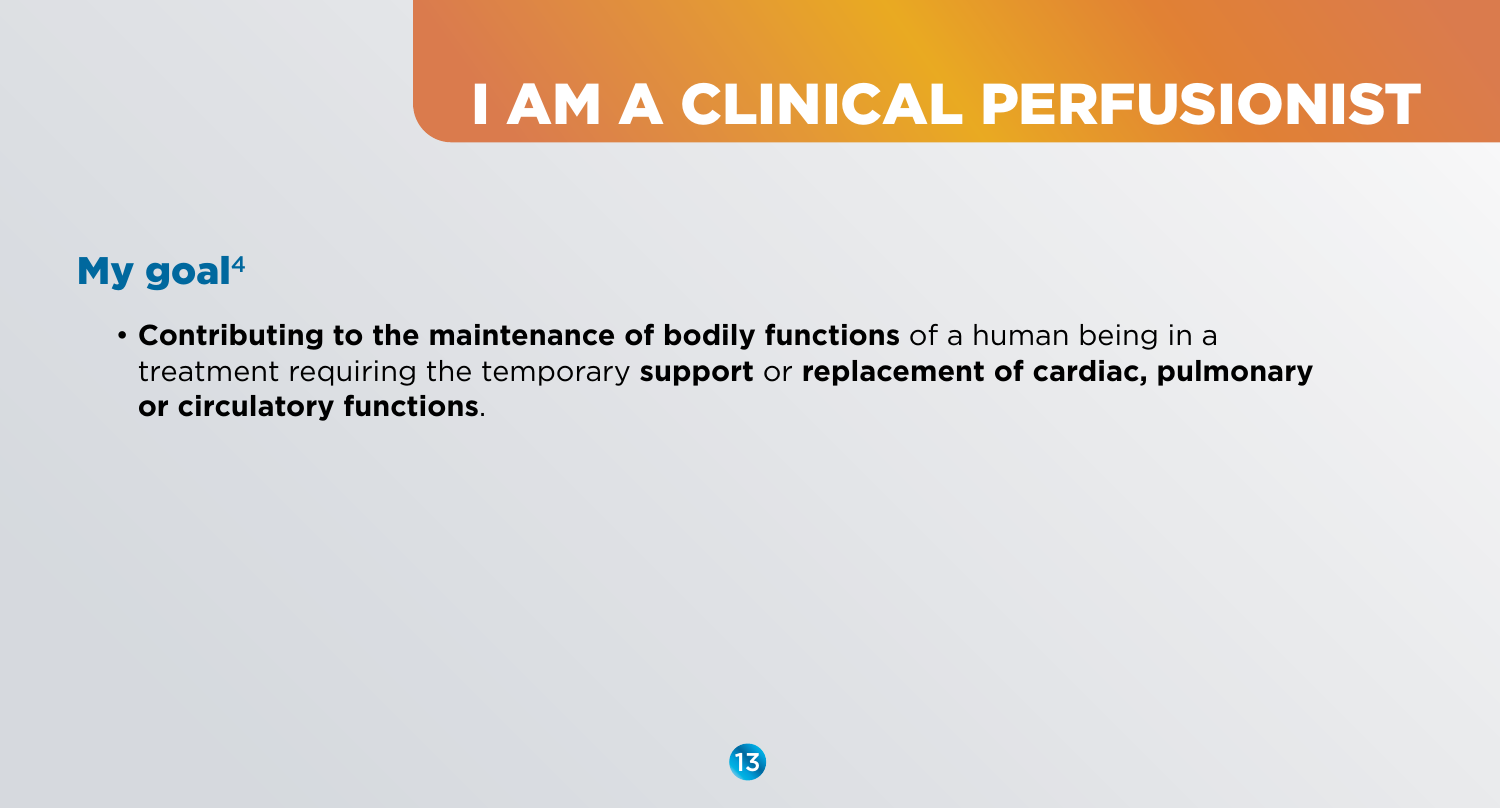# I AM A CLINICAL PERFUSIONIST

### My goal $4$

• **Contributing to the maintenance of bodily functions** of a human being in a treatment requiring the temporary **support** or **replacement of cardiac, pulmonary or circulatory functions**.

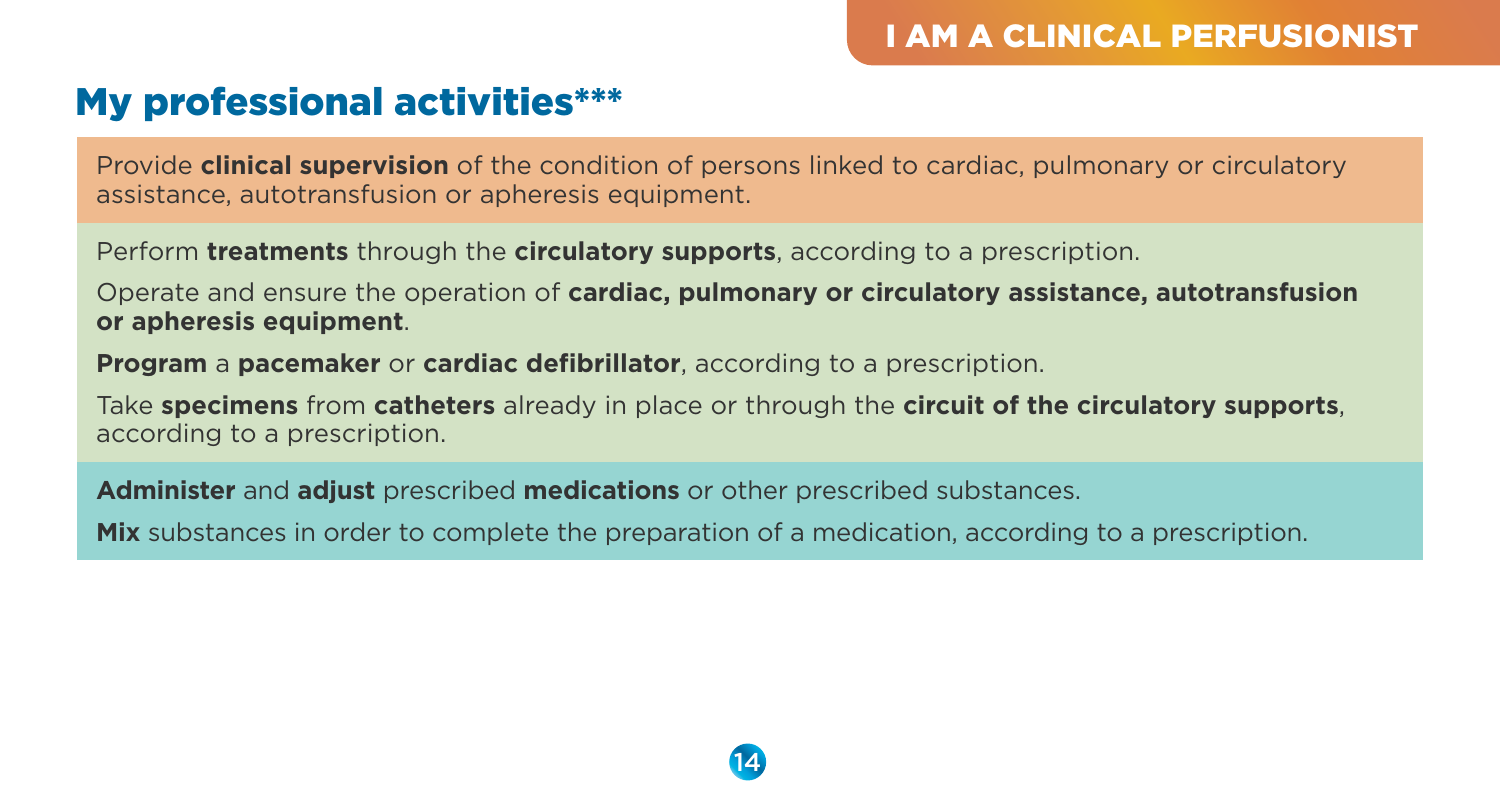### My professional activities\*\*\*

Provide **clinical supervision** of the condition of persons linked to cardiac, pulmonary or circulatory assistance, autotransfusion or apheresis equipment.

Perform **treatments** through the **circulatory supports**, according to a prescription.

Operate and ensure the operation of **cardiac, pulmonary or circulatory assistance, autotransfusion or apheresis equipment**.

**Program** a **pacemaker** or **cardiac defibrillator**, according to a prescription.

Take **specimens** from **catheters** already in place or through the **circuit of the circulatory supports**, according to a prescription.

**Administer** and **adjust** prescribed **medications** or other prescribed substances.

**Mix** substances in order to complete the preparation of a medication, according to a prescription.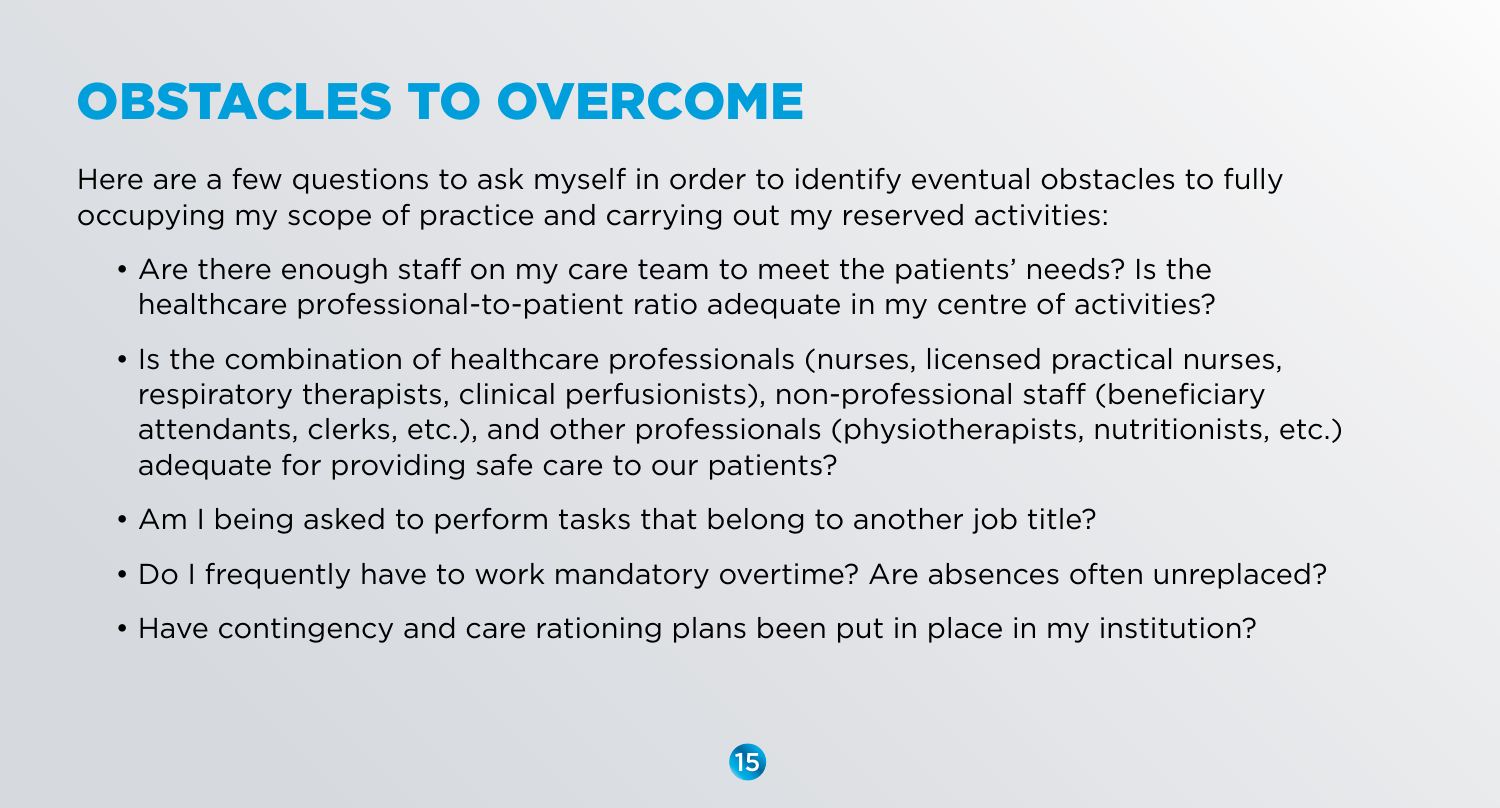# OBSTACLES TO OVERCOME

Here are a few questions to ask myself in order to identify eventual obstacles to fully occupying my scope of practice and carrying out my reserved activities:

- Are there enough staff on my care team to meet the patients' needs? Is the healthcare professional-to-patient ratio adequate in my centre of activities?
- Is the combination of healthcare professionals (nurses, licensed practical nurses, respiratory therapists, clinical perfusionists), non-professional staff (beneficiary attendants, clerks, etc.), and other professionals (physiotherapists, nutritionists, etc.) adequate for providing safe care to our patients?
- Am I being asked to perform tasks that belong to another job title?
- Do I frequently have to work mandatory overtime? Are absences often unreplaced?
- Have contingency and care rationing plans been put in place in my institution?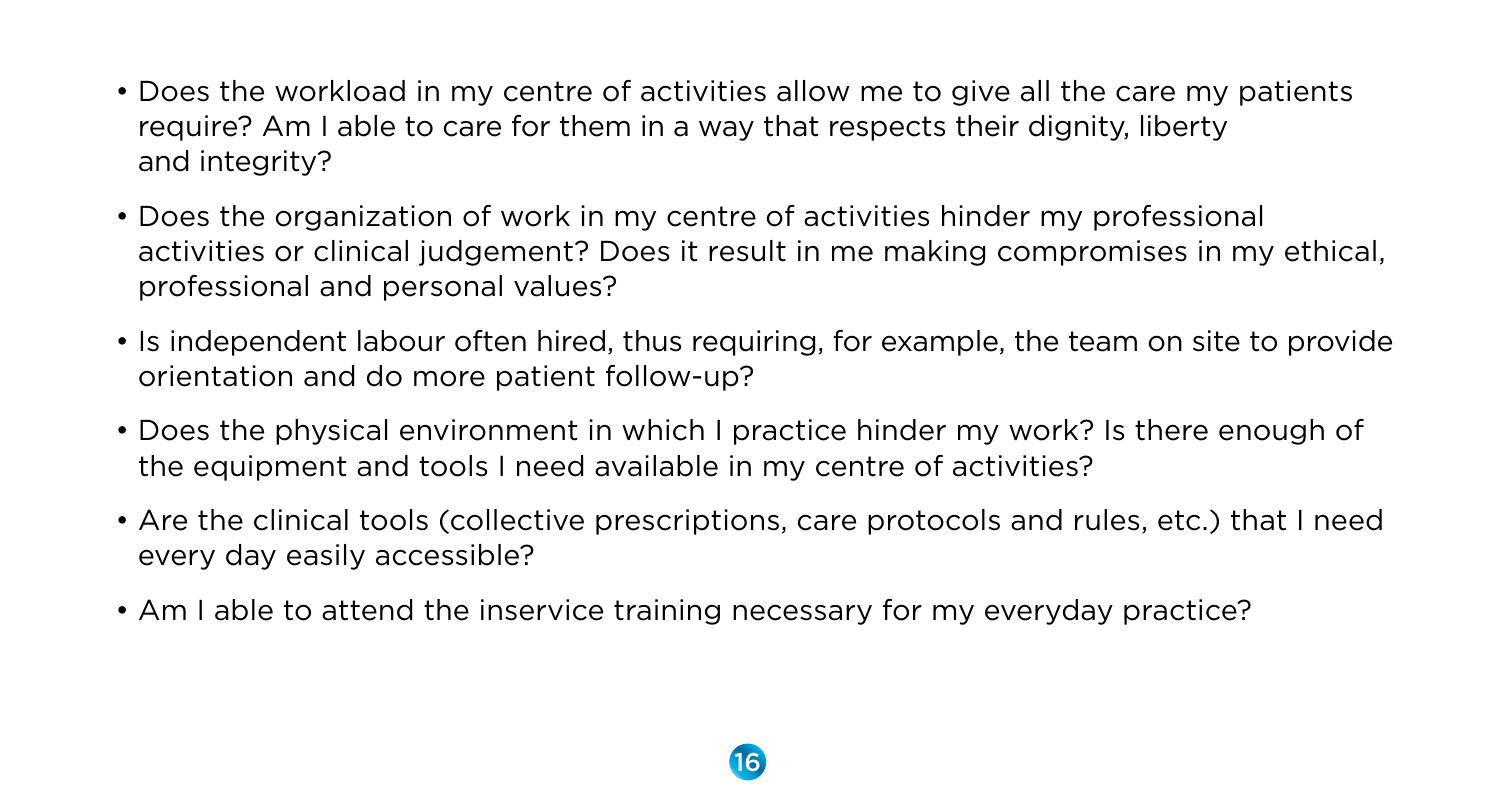- Does the workload in my centre of activities allow me to give all the care my patients require? Am I able to care for them in a way that respects their dignity, liberty and integrity?
- Does the organization of work in my centre of activities hinder my professional activities or clinical judgement? Does it result in me making compromises in my ethical, professional and personal values?
- Is independent labour often hired, thus requiring, for example, the team on site to provide orientation and do more patient follow-up?
- Does the physical environment in which I practice hinder my work? Is there enough of the equipment and tools I need available in my centre of activities?
- Are the clinical tools (collective prescriptions, care protocols and rules, etc.) that I need every day easily accessible?
- Am I able to attend the inservice training necessary for my everyday practice?

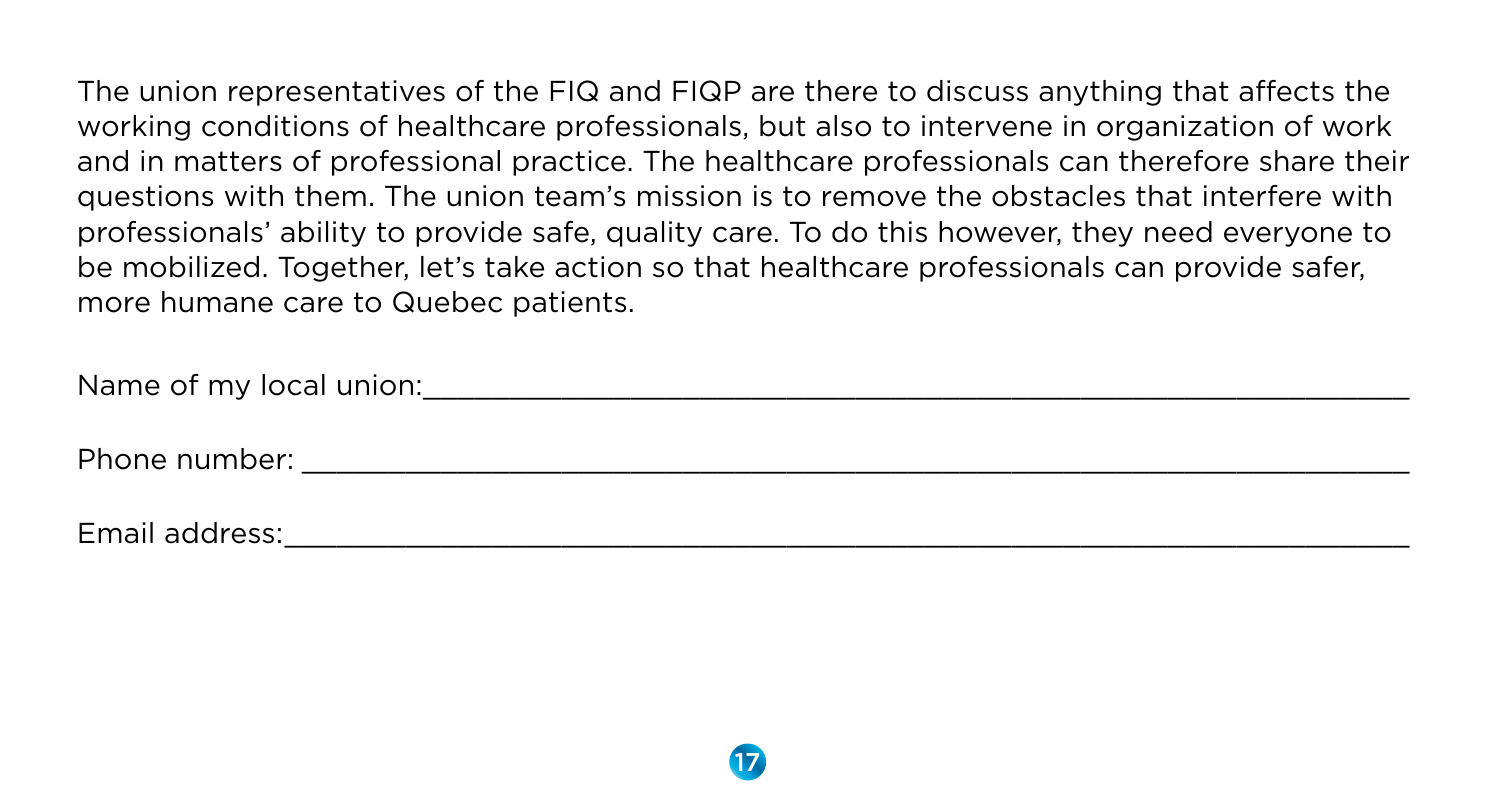The union representatives of the FIQ and FIQP are there to discuss anything that affects the working conditions of healthcare professionals, but also to intervene in organization of work and in matters of professional practice. The healthcare professionals can therefore share their questions with them. The union team's mission is to remove the obstacles that interfere with professionals' ability to provide safe, quality care. To do this however, they need everyone to be mobilized. Together, let's take action so that healthcare professionals can provide safer, more humane care to Quebec patients.

Name of my local union:\_\_\_\_\_\_\_\_\_\_\_\_\_\_\_\_\_\_\_\_\_\_\_\_\_\_\_\_\_\_\_\_\_\_\_\_\_\_\_\_\_\_\_\_\_\_\_\_\_\_\_\_\_\_\_\_\_

Phone number:  $\blacksquare$ 

Email address:\_\_\_\_\_\_\_\_\_\_\_\_\_\_\_\_\_\_\_\_\_\_\_\_\_\_\_\_\_\_\_\_\_\_\_\_\_\_\_\_\_\_\_\_\_\_\_\_\_\_\_\_\_\_\_\_\_\_\_\_\_\_\_\_\_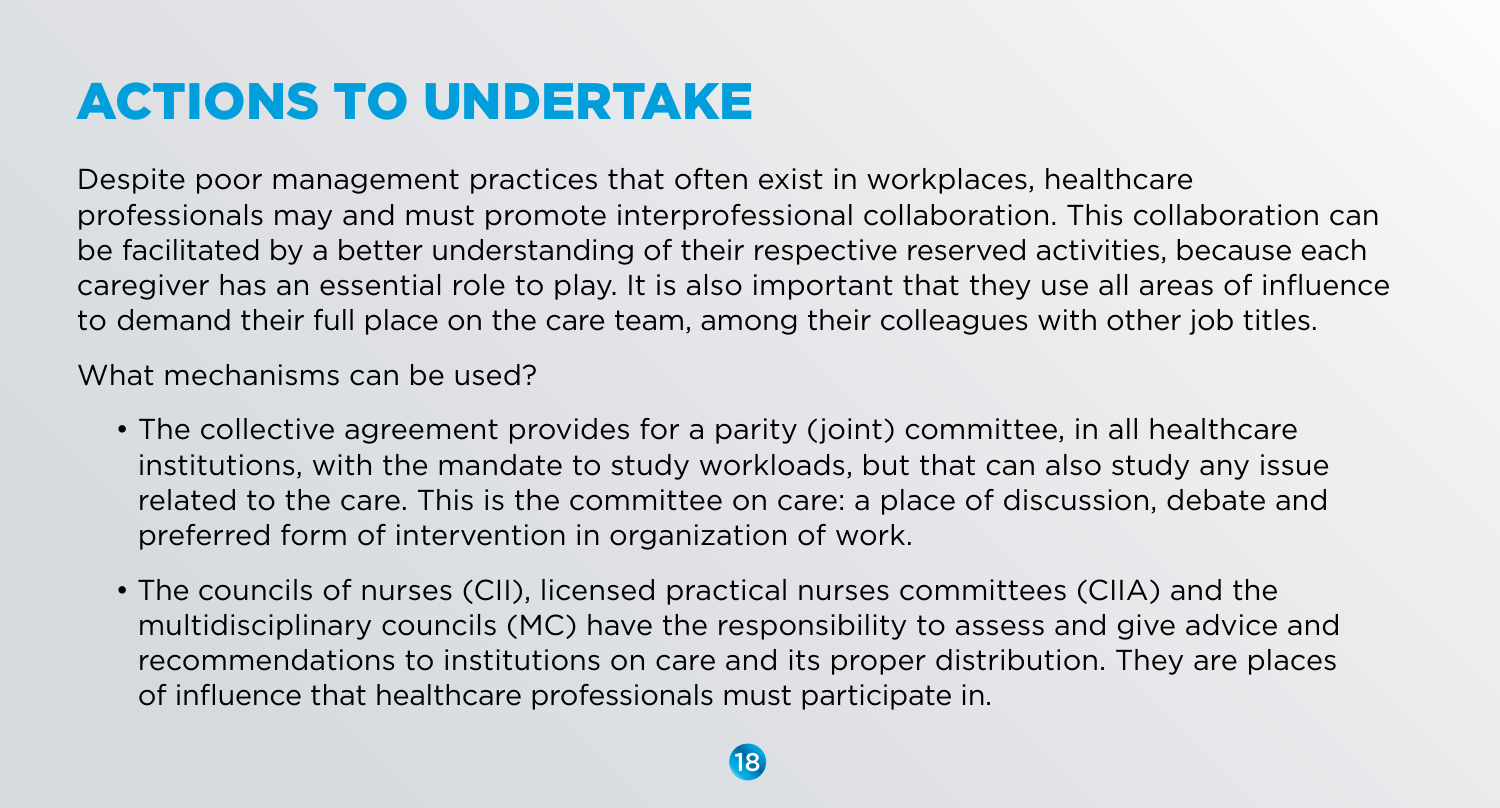# ACTIONS TO UNDERTAKE

Despite poor management practices that often exist in workplaces, healthcare professionals may and must promote interprofessional collaboration. This collaboration can be facilitated by a better understanding of their respective reserved activities, because each caregiver has an essential role to play. It is also important that they use all areas of influence to demand their full place on the care team, among their colleagues with other job titles.

What mechanisms can be used?

- The collective agreement provides for a parity (joint) committee, in all healthcare institutions, with the mandate to study workloads, but that can also study any issue related to the care. This is the committee on care: a place of discussion, debate and preferred form of intervention in organization of work.
- The councils of nurses (CII), licensed practical nurses committees (CIIA) and the multidisciplinary councils (MC) have the responsibility to assess and give advice and recommendations to institutions on care and its proper distribution. They are places of influence that healthcare professionals must participate in.

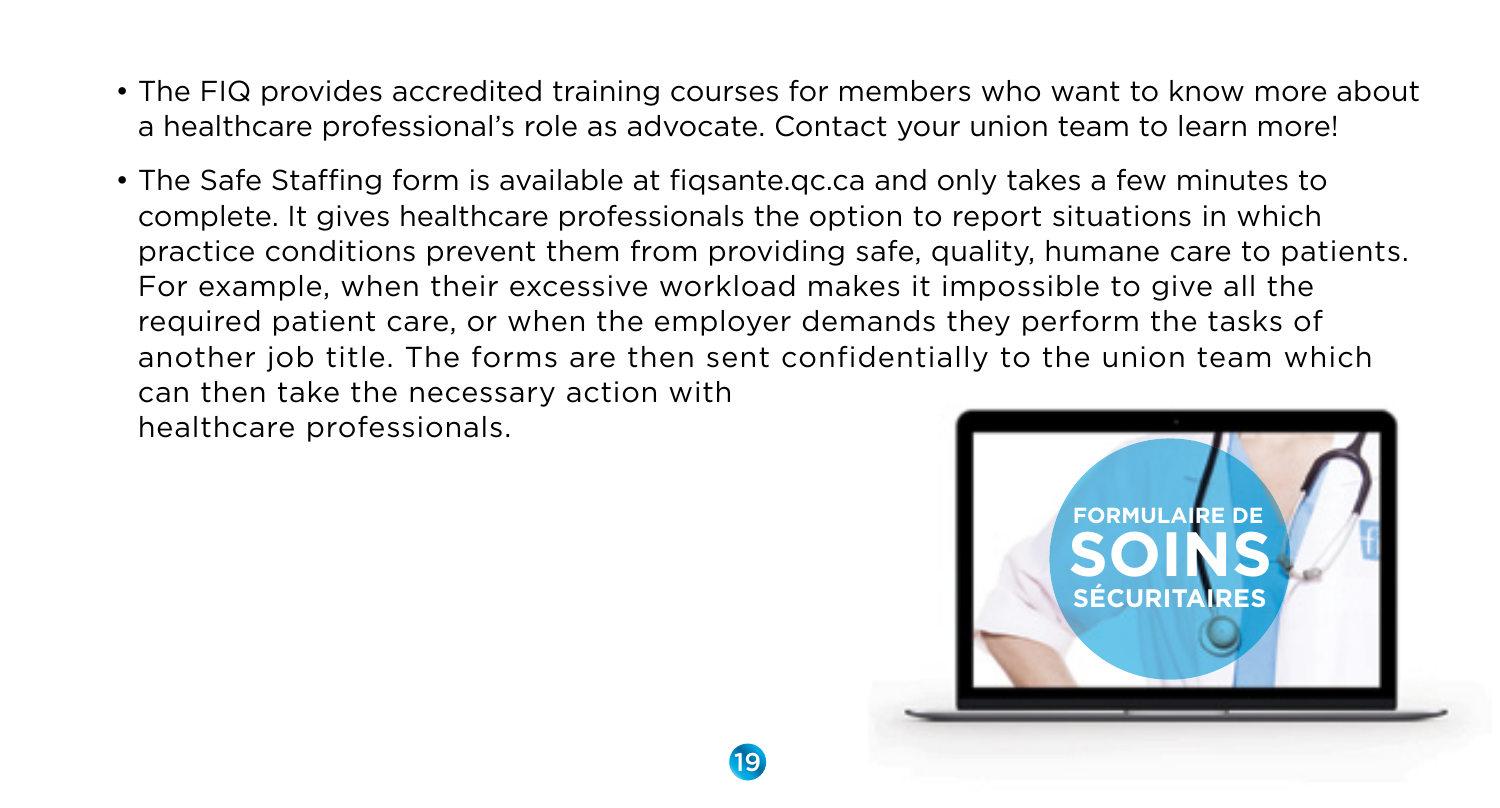- The FIQ provides accredited training courses for members who want to know more about a healthcare professional's role as advocate. Contact your union team to learn more!
- The Safe Staffing form is available at fiqsante.qc.ca and only takes a few minutes to complete. It gives healthcare professionals the option to report situations in which practice conditions prevent them from providing safe, quality, humane care to patients. For example, when their excessive workload makes it impossible to give all the required patient care, or when the employer demands they perform the tasks of another job title. The forms are then sent confidentially to the union team which can then take the necessary action with

healthcare professionals.

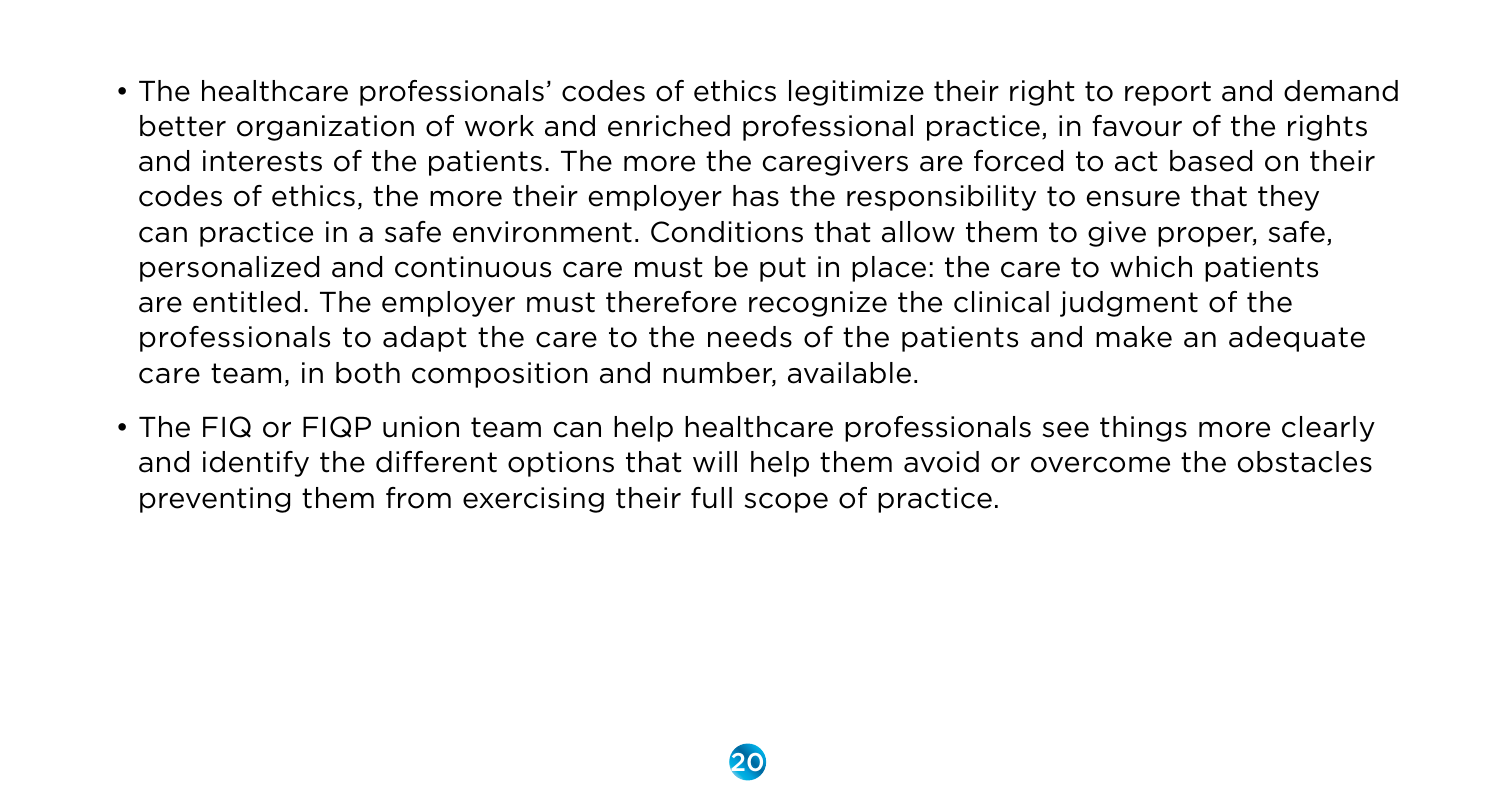- The healthcare professionals' codes of ethics legitimize their right to report and demand better organization of work and enriched professional practice, in favour of the rights and interests of the patients. The more the caregivers are forced to act based on their codes of ethics, the more their employer has the responsibility to ensure that they can practice in a safe environment. Conditions that allow them to give proper, safe, personalized and continuous care must be put in place: the care to which patients are entitled. The employer must therefore recognize the clinical judgment of the professionals to adapt the care to the needs of the patients and make an adequate care team, in both composition and number, available.
- The FIQ or FIQP union team can help healthcare professionals see things more clearly and identify the different options that will help them avoid or overcome the obstacles preventing them from exercising their full scope of practice.

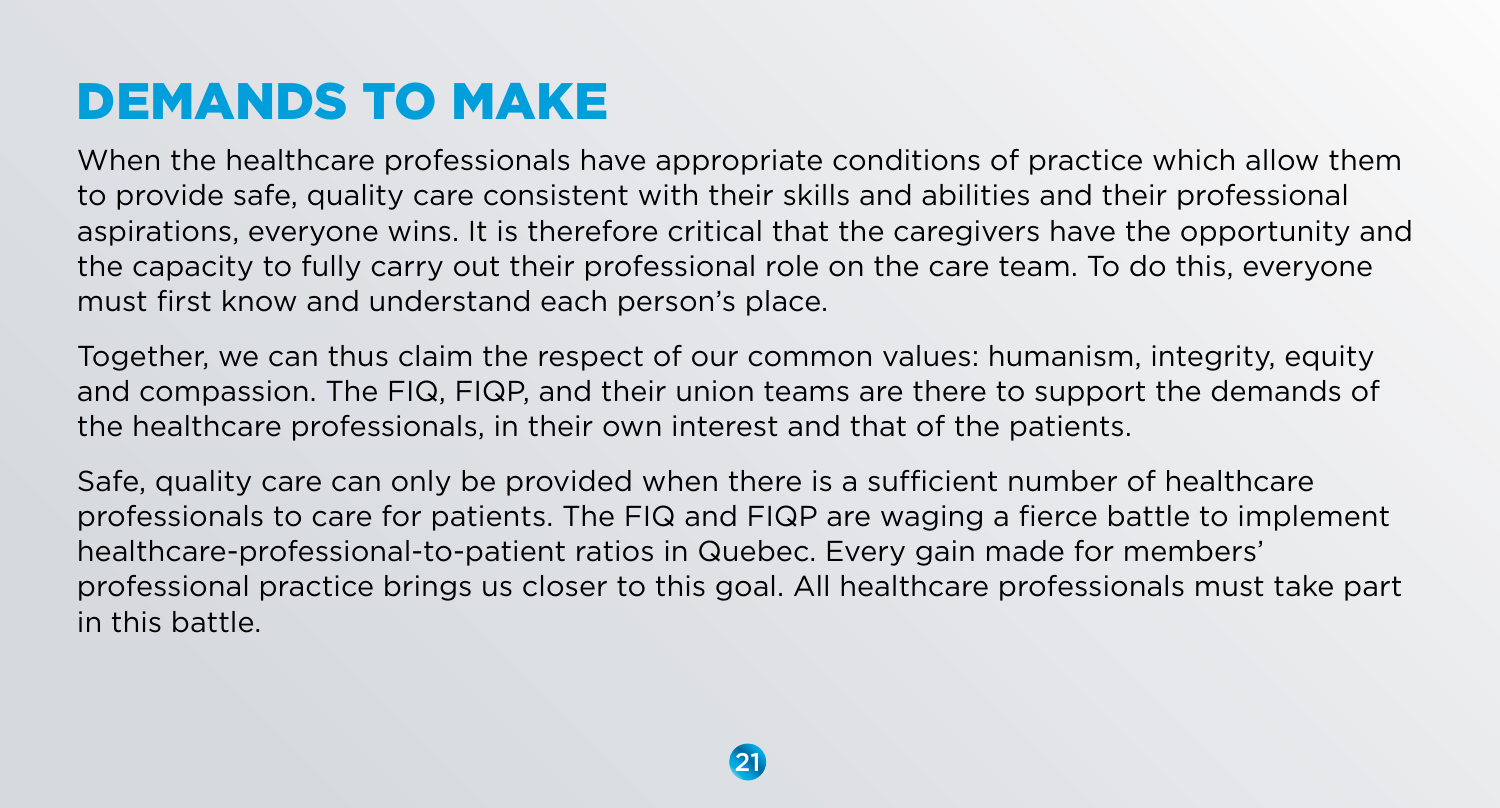# DEMANDS TO MAKE

When the healthcare professionals have appropriate conditions of practice which allow them to provide safe, quality care consistent with their skills and abilities and their professional aspirations, everyone wins. It is therefore critical that the caregivers have the opportunity and the capacity to fully carry out their professional role on the care team. To do this, everyone must first know and understand each person's place.

Together, we can thus claim the respect of our common values: humanism, integrity, equity and compassion. The FIQ, FIQP, and their union teams are there to support the demands of the healthcare professionals, in their own interest and that of the patients.

Safe, quality care can only be provided when there is a sufficient number of healthcare professionals to care for patients. The FIQ and FIQP are waging a fierce battle to implement healthcare-professional-to-patient ratios in Quebec. Every gain made for members' professional practice brings us closer to this goal. All healthcare professionals must take part in this battle.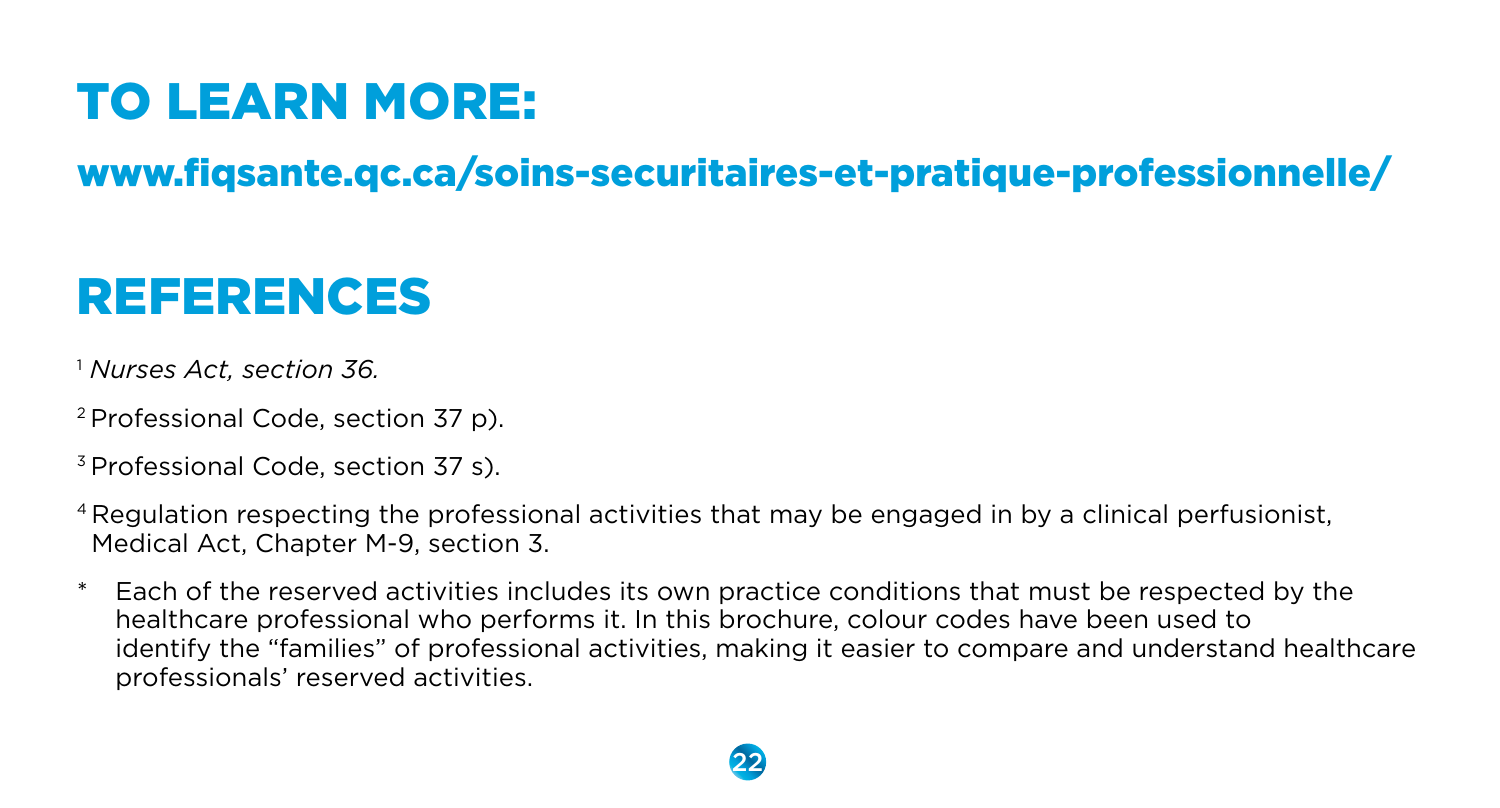# TO LEARN MORE:

### www.fiqsante.qc.ca/soins-securitaires-et-pratique-professionnelle/

# REFERENCES

- <sup>1</sup> *Nurses Act, section 36.*
- 2 Professional Code, section 37 p).
- 3 Professional Code, section 37 s).
- 4 Regulation respecting the professional activities that may be engaged in by a clinical perfusionist, Medical Act, Chapter M-9, section 3.
- Each of the reserved activities includes its own practice conditions that must be respected by the healthcare professional who performs it. In this brochure, colour codes have been used to identify the "families" of professional activities, making it easier to compare and understand healthcare professionals' reserved activities.

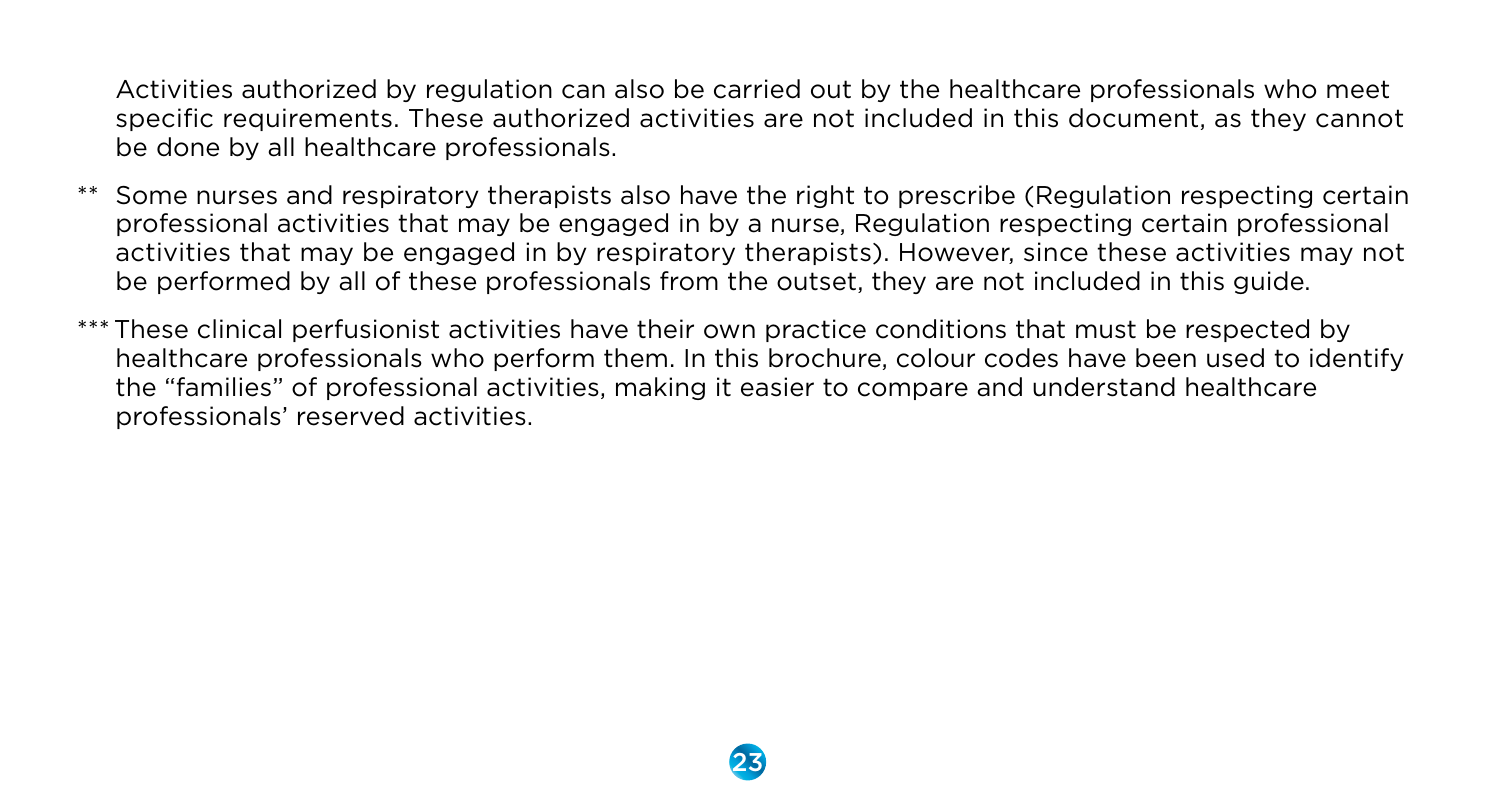Activities authorized by regulation can also be carried out by the healthcare professionals who meet specific requirements. These authorized activities are not included in this document, as they cannot be done by all healthcare professionals.

- Some nurses and respiratory therapists also have the right to prescribe (Regulation respecting certain professional activities that may be engaged in by a nurse, Regulation respecting certain professional activities that may be engaged in by respiratory therapists). However, since these activities may not be performed by all of these professionals from the outset, they are not included in this guide.
- \*\*\* These clinical perfusionist activities have their own practice conditions that must be respected by healthcare professionals who perform them. In this brochure, colour codes have been used to identify the "families" of professional activities, making it easier to compare and understand healthcare professionals' reserved activities.